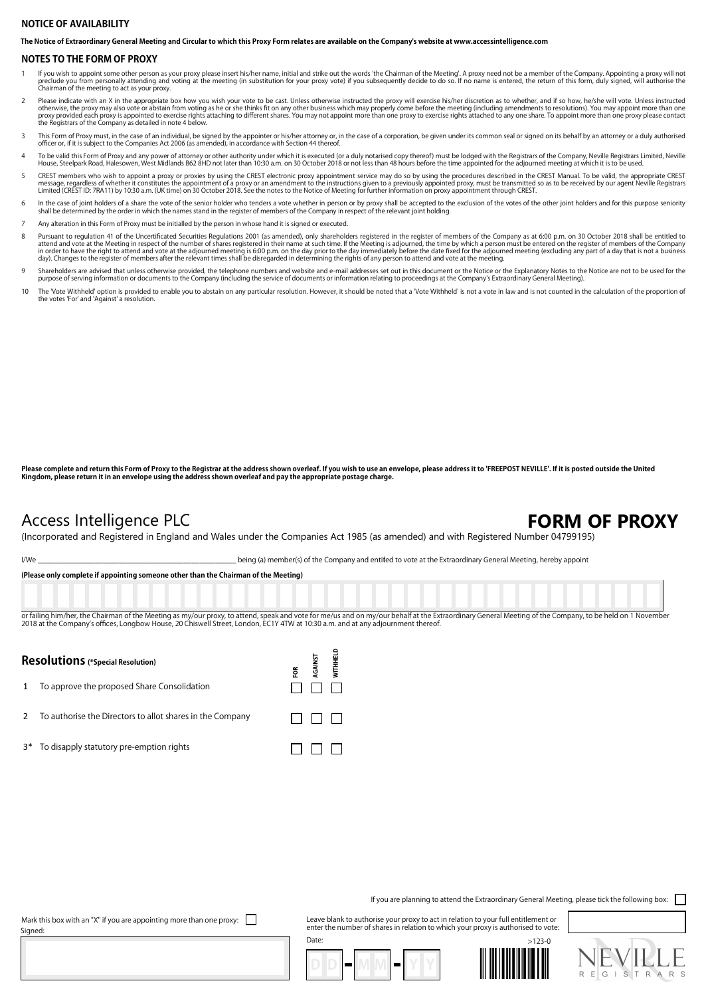## **NOTICE OF AVAILABILITY**

**The Notice of Extraordinary General Meeting and Circular to which this Proxy Form relates are available on the Company's website at www.accessintelligence.com**

### **NOTES TO THE FORM OF PROXY**

- lf you wish to appoint some other person as your proxy please insert his/her name, initial and strike out the words 'the Chairman of the Meeting'. A proxy need not be a member of the Company. Appointing a proxy will not pr preciude you from personally attending and Chairman of the meeting to act as your proxy.
- Please indicate with an X in the appropriate box how you wish your vote to be cast. Unless otherwise instructed the proxy will exercise his/her discretion as to whether, and if so how, he/she will vote. Unless instructed o
- 3 This Form of Proxy must, in the case of an individual, be signed by the appointer or his/her attorney or, in the case of a corporation, be given under its common seal or signed on its behalf by an attorney or a duly auth
- To be valid this Form of Proxy and any power of attorney or other authority under which it is executed (or a duly notarised copy thereof) must be lodged with the Registrars of the Company, Neville Registrars Limited, Nevil
- 5 CREST members who wish to appoint a proxy or proxies by using the CREST electronic proxy appointment service may do so by using the procedures described in the CREST Manual. To be valid, the appropriate CREST message, regardless of whether it constitutes the appointment of a proxy or an amendment to the instructions given to a previously appointed proxy, must be transmitted so as to be received by our agent Neville Registrars<br>L
- 6 In the case of joint holders of a share the vote of the senior holder who tenders a vote whether in person or by proxy shall be accepted to the exclusion of the votes of the other joint holders and for this purpose senio shall be determined by the order in which the names stand in the register of members of the Company in respect of the relevant joint holding.
- 7 Any alteration in this Form of Proxy must be initialled by the person in whose hand it is signed or executed.
- Pursuant to regulation 41 of the Uncertificated Securities Regulations 2001 (as amended), only shareholders registered in the register of members of the Company as at 6:00 p.m. on 30 October 2018 shall be entitled to<br>atten in order to have the right to attend and vote at the adjourned meeting is 6:00 p.m. on the day prior to the day immediately before the date fixed for the adjourned meeting (excluding any part of a day that is not a busines
- Shareholders are advised that unless otherwise provided, the telephone numbers and website and e-mail addresses set out in this document or the Notice or the Explanatory Notes to the Notice are not to be used for the purpose of serving information or documents to the Company (including the service of documents or information relating to proceedings at the Company's Extraordinary General Meeting).
- 10 The 'Vote Withheld' option is provided to enable you to abstain on any particular resolution. However, it should be noted that a 'Vote Withheld' is not a vote in law and is not counted in the calculation of the proporti

**Please complete and return this Form of Proxy to the Registrar at the address shown overleaf. If you wish to use an envelope, please address it to 'FREEPOST NEVILLE'. If it is posted outside the United Kingdom, please return it in an envelope using the address shown overleaf and pay the appropriate postage charge.**

## Access Intelligence PLC **FORM OF PROXY**

(Incorporated and Registered in England and Wales under the Companies Act 1985 (as amended) and with Registered Number 04799195)

I/We ing (a) member(s) of the Company and entitled to vote at the Extraordinary General Meeting, hereby appoint

**(Please only complete if appointing someone other than the Chairman of the Meeting)**

or failing him/her, the Chairman of the Meeting as my/our proxy, to attend, speak and vote for me/us and on my/our behalf at the Extraordinary General Meeting of the Company, to be held on 1 November 2018 at the Company's offices, Longbow House, 20 Chiswell Street, London, EC1Y 4TW at 10:30 a.m. and at any adjournment thereo

> **WITHHELD** AGAINST ទ្ថ

 $\Box$   $\Box$   $\Box$ 

 $\Box$   $\Box$   $\Box$ 

## **Resolutions (\*Special Resolution)**

1 To approve the proposed Share Consolidation

- 2 To authorise the Directors to allot shares in the Company
- 3\* To disapply statutory pre-emption rights

If you are planning to attend the Extraordinary General Meeting, please tick the following box:  $\Box$ 

Mark this box with an "X" if you are appointing more than one proxy:  $\Box$ Signed

Leave blank to authorise your proxy to act in relation to your full entitlement or enter the number of shares in relation to which your proxy is authorised to vote: Date: